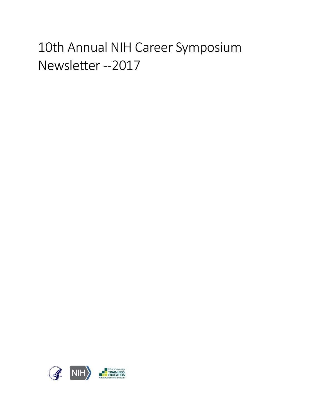# 10th Annual NIH Career Symposium Newsletter --2017

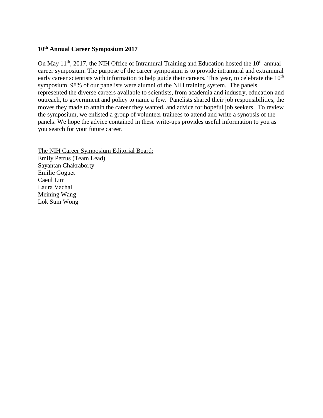# **10th Annual Career Symposium 2017**

On May  $11<sup>th</sup>$ , 2017, the NIH Office of Intramural Training and Education hosted the  $10<sup>th</sup>$  annual career symposium. The purpose of the career symposium is to provide intramural and extramural early career scientists with information to help guide their careers. This year, to celebrate the  $10<sup>th</sup>$ symposium, 98% of our panelists were alumni of the NIH training system. The panels represented the diverse careers available to scientists, from academia and industry, education and outreach, to government and policy to name a few. Panelists shared their job responsibilities, the moves they made to attain the career they wanted, and advice for hopeful job seekers. To review the symposium, we enlisted a group of volunteer trainees to attend and write a synopsis of the panels. We hope the advice contained in these write-ups provides useful information to you as you search for your future career.

The NIH Career Symposium Editorial Board: Emily Petrus (Team Lead) Sayantan Chakraborty Emilie Goguet Caeul Lim Laura Vachal Meining Wang Lok Sum Wong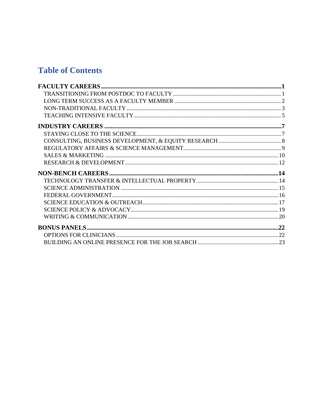# **Table of Contents**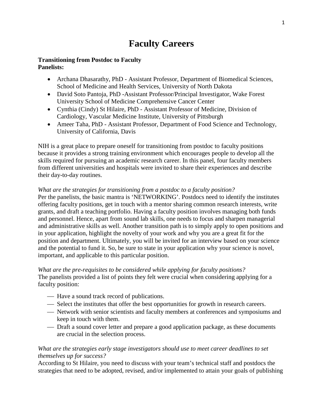# **Faculty Careers**

#### **Transitioning from Postdoc to Faculty Panelists:**

- Archana Dhasarathy, PhD Assistant Professor, Department of Biomedical Sciences, School of Medicine and Health Services, University of North Dakota
- David Soto Pantoja, PhD -Assistant Professor/Principal Investigator, Wake Forest University School of Medicine Comprehensive Cancer Center
- Cynthia (Cindy) St Hilaire, PhD Assistant Professor of Medicine, Division of Cardiology, Vascular Medicine Institute, University of Pittsburgh
- Ameer Taha, PhD Assistant Professor, Department of Food Science and Technology, University of California, Davis

NIH is a great place to prepare oneself for transitioning from postdoc to faculty positions because it provides a strong training environment which encourages people to develop all the skills required for pursuing an academic research career. In this panel, four faculty members from different universities and hospitals were invited to share their experiences and describe their day-to-day routines.

# *What are the strategies for transitioning from a postdoc to a faculty position?*

Per the panelists, the basic mantra is 'NETWORKING'. Postdocs need to identify the institutes offering faculty positions, get in touch with a mentor sharing common research interests, write grants, and draft a teaching portfolio. Having a faculty position involves managing both funds and personnel. Hence, apart from sound lab skills, one needs to focus and sharpen managerial and administrative skills as well. Another transition path is to simply apply to open positions and in your application, highlight the novelty of your work and why you are a great fit for the position and department. Ultimately, you will be invited for an interview based on your science and the potential to fund it. So, be sure to state in your application why your science is novel, important, and applicable to this particular position.

# *What are the pre-requisites to be considered while applying for faculty positions?*

The panelists provided a list of points they felt were crucial when considering applying for a faculty position:

- Have a sound track record of publications.
- $\overline{\phantom{a}}$  Select the institutes that offer the best opportunities for growth in research careers.
- Network with senior scientists and faculty members at conferences and symposiums and keep in touch with them.
- Draft a sound cover letter and prepare a good application package, as these documents are crucial in the selection process.

# *What are the strategies early stage investigators should use to meet career deadlines to set themselves up for success?*

According to St Hilaire, you need to discuss with your team's technical staff and postdocs the strategies that need to be adopted, revised, and/or implemented to attain your goals of publishing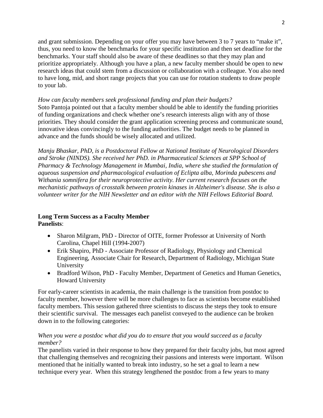and grant submission. Depending on your offer you may have between 3 to 7 years to "make it", thus, you need to know the benchmarks for your specific institution and then set deadline for the benchmarks. Your staff should also be aware of these deadlines so that they may plan and prioritize appropriately. Although you have a plan, a new faculty member should be open to new research ideas that could stem from a discussion or collaboration with a colleague. You also need to have long, mid, and short range projects that you can use for rotation students to draw people to your lab.

# *How can faculty members seek professional funding and plan their budgets?*

Soto Pantoja pointed out that a faculty member should be able to identify the funding priorities of funding organizations and check whether one's research interests align with any of those priorities. They should consider the grant application screening process and communicate sound, innovative ideas convincingly to the funding authorities. The budget needs to be planned in advance and the funds should be wisely allocated and utilized.

*Manju Bhaskar, PhD, is a Postdoctoral Fellow at National Institute of Neurological Disorders and Stroke (NINDS). She received her PhD. in Pharmaceutical Sciences at SPP School of Pharmacy & Technology Management in Mumbai, India, where she studied the formulation of aqueous suspension and pharmacological evaluation of Eclipta alba, Morinda pubescens and Withania somnifera for their neuroprotective activity. Her current research focuses on the mechanistic pathways of crosstalk between protein kinases in Alzheimer's disease. She is also a volunteer writer for the NIH Newsletter and an editor with the NIH Fellows Editorial Board.*

# **Long Term Success as a Faculty Member Panelists**:

- Sharon Milgram, PhD Director of OITE, former Professor at University of North Carolina, Chapel Hill (1994-2007)
- Erik Shapiro, PhD Associate Professor of Radiology, Physiology and Chemical Engineering, Associate Chair for Research, Department of Radiology, Michigan State University
- Bradford Wilson, PhD Faculty Member, Department of Genetics and Human Genetics, Howard University

For early-career scientists in academia, the main challenge is the transition from postdoc to faculty member, however there will be more challenges to face as scientists become established faculty members. This session gathered three scientists to discuss the steps they took to ensure their scientific survival. The messages each panelist conveyed to the audience can be broken down in to the following categories:

# *When you were a postdoc what did you do to ensure that you would succeed as a faculty member?*

The panelists varied in their response to how they prepared for their faculty jobs, but most agreed that challenging themselves and recognizing their passions and interests were important. Wilson mentioned that he initially wanted to break into industry, so he set a goal to learn a new technique every year. When this strategy lengthened the postdoc from a few years to many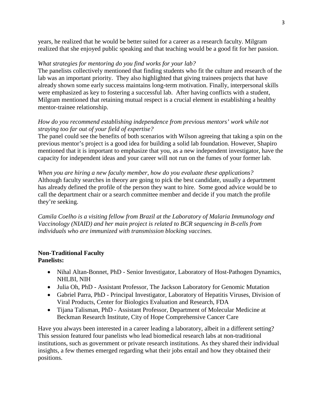years, he realized that he would be better suited for a career as a research faculty. Milgram realized that she enjoyed public speaking and that teaching would be a good fit for her passion.

# *What strategies for mentoring do you find works for your lab?*

The panelists collectively mentioned that finding students who fit the culture and research of the lab was an important priority. They also highlighted that giving trainees projects that have already shown some early success maintains long-term motivation. Finally, interpersonal skills were emphasized as key to fostering a successful lab. After having conflicts with a student, Milgram mentioned that retaining mutual respect is a crucial element in establishing a healthy mentor-trainee relationship.

# *How do you recommend establishing independence from previous mentors' work while not straying too far out of your field of expertise?*

The panel could see the benefits of both scenarios with Wilson agreeing that taking a spin on the previous mentor's project is a good idea for building a solid lab foundation. However, Shapiro mentioned that it is important to emphasize that you, as a new independent investigator, have the capacity for independent ideas and your career will not run on the fumes of your former lab.

*When you are hiring a new faculty member, how do you evaluate these applications?* Although faculty searches in theory are going to pick the best candidate, usually a department has already defined the profile of the person they want to hire. Some good advice would be to call the department chair or a search committee member and decide if you match the profile they're seeking.

*Camila Coelho is a visiting fellow from Brazil at the Laboratory of Malaria Immunology and Vaccinology (NIAID) and her main project is related to BCR sequencing in B-cells from individuals who are immunized with transmission blocking vaccines.*

# **Non-Traditional Faculty Panelists:**

- Nihal Altan-Bonnet, PhD Senior Investigator, Laboratory of Host-Pathogen Dynamics, NHLBI, NIH
- Julia Oh, PhD Assistant Professor, The Jackson Laboratory for Genomic Mutation
- Gabriel Parra, PhD Principal Investigator, Laboratory of Hepatitis Viruses, Division of Viral Products, Center for Biologics Evaluation and Research, FDA
- Tijana Talisman, PhD Assistant Professor, Department of Molecular Medicine at Beckman Research Institute, City of Hope Comprehensive Cancer Care

Have you always been interested in a career leading a laboratory, albeit in a different setting? This session featured four panelists who lead biomedical research labs at non-traditional institutions, such as government or private research institutions. As they shared their individual insights, a few themes emerged regarding what their jobs entail and how they obtained their positions.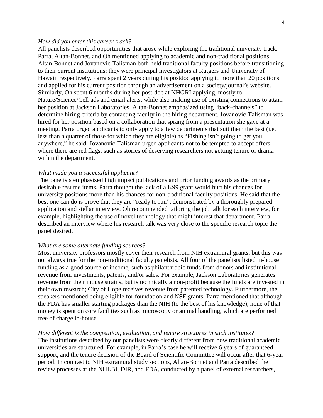#### *How did you enter this career track?*

All panelists described opportunities that arose while exploring the traditional university track. Parra, Altan-Bonnet, and Oh mentioned applying to academic and non-traditional positions. Altan-Bonnet and Jovanovic-Talisman both held traditional faculty positions before transitioning to their current institutions; they were principal investigators at Rutgers and University of Hawaii, respectively. Parra spent 2 years during his postdoc applying to more than 20 positions and applied for his current position through an advertisement on a society/journal's website. Similarly, Oh spent 6 months during her post-doc at NHGRI applying, mostly to Nature/Science/Cell ads and email alerts, while also making use of existing connections to attain her position at Jackson Laboratories. Altan-Bonnet emphasized using "back-channels" to determine hiring criteria by contacting faculty in the hiring department. Jovanovic-Talisman was hired for her position based on a collaboration that sprang from a presentation she gave at a meeting. Parra urged applicants to only apply to a few departments that suit them the best (i.e. less than a quarter of those for which they are eligible) as "Fishing isn't going to get you anywhere," he said. Jovanovic-Talisman urged applicants not to be tempted to accept offers where there are red flags, such as stories of deserving researchers not getting tenure or drama within the department.

#### *What made you a successful applicant?*

The panelists emphasized high impact publications and prior funding awards as the primary desirable resume items. Parra thought the lack of a K99 grant would hurt his chances for university positions more than his chances for non-traditional faculty positions. He said that the best one can do is prove that they are "ready to run", demonstrated by a thoroughly prepared application and stellar interview. Oh recommended tailoring the job talk for each interview, for example, highlighting the use of novel technology that might interest that department. Parra described an interview where his research talk was very close to the specific research topic the panel desired.

#### *What are some alternate funding sources?*

Most university professors mostly cover their research from NIH extramural grants, but this was not always true for the non-traditional faculty panelists. All four of the panelists listed in-house funding as a good source of income, such as philanthropic funds from donors and institutional revenue from investments, patents, and/or sales. For example, Jackson Laboratories generates revenue from their mouse strains, but is technically a non-profit because the funds are invested in their own research; City of Hope receives revenue from patented technology. Furthermore, the speakers mentioned being eligible for foundation and NSF grants. Parra mentioned that although the FDA has smaller starting packages than the NIH (to the best of his knowledge), none of that money is spent on core facilities such as microscopy or animal handling, which are performed free of charge in-house.

#### *How different is the competition, evaluation, and tenure structures in such institutes?*

The institutions described by our panelists were clearly different from how traditional academic universities are structured. For example, in Parra's case he will receive 6 years of guaranteed support, and the tenure decision of the Board of Scientific Committee will occur after that 6-year period. In contrast to NIH extramural study sections, Altan-Bonnet and Parra described the review processes at the NHLBI, DIR, and FDA, conducted by a panel of external researchers,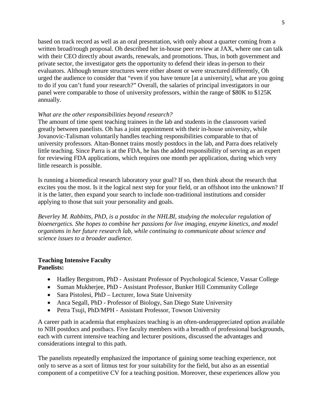based on track record as well as an oral presentation, with only about a quarter coming from a written broad/rough proposal. Oh described her in-house peer review at JAX, where one can talk with their CEO directly about awards, renewals, and promotions. Thus, in both government and private sector, the investigator gets the opportunity to defend their ideas in-person to their evaluators. Although tenure structures were either absent or were structured differently, Oh urged the audience to consider that "even if you have tenure [at a university], what are you going to do if you can't fund your research?" Overall, the salaries of principal investigators in our panel were comparable to those of university professors, within the range of \$80K to \$125K annually.

### *What are the other responsibilities beyond research?*

The amount of time spent teaching trainees in the lab and students in the classroom varied greatly between panelists. Oh has a joint appointment with their in-house university, while Jovanovic-Talisman voluntarily handles teaching responsibilities comparable to that of university professors. Altan-Bonnet trains mostly postdocs in the lab, and Parra does relatively little teaching. Since Parra is at the FDA, he has the added responsibility of serving as an expert for reviewing FDA applications, which requires one month per application, during which very little research is possible.

Is running a biomedical research laboratory your goal? If so, then think about the research that excites you the most. Is it the logical next step for your field, or an offshoot into the unknown? If it is the latter, then expand your search to include non-traditional institutions and consider applying to those that suit your personality and goals.

*Beverley M. Rabbitts, PhD, is a postdoc in the NHLBI, studying the molecular regulation of bioenergetics. She hopes to combine her passions for live imaging, enzyme kinetics, and model organisms in her future research lab, while continuing to communicate about science and science issues to a broader audience.*

#### **Teaching Intensive Faculty Panelists:**

- Hadley Bergstrom, PhD Assistant Professor of Psychological Science, Vassar College
- Suman Mukherjee, PhD Assistant Professor, Bunker Hill Community College
- Sara Pistolesi, PhD Lecturer, Iowa State University
- Anca Segall, PhD Professor of Biology, San Diego State University
- Petra Tsuji, PhD/MPH Assistant Professor, Towson University

A career path in academia that emphasizes teaching is an often-underappreciated option available to NIH postdocs and postbacs. Five faculty members with a breadth of professional backgrounds, each with current intensive teaching and lecturer positions, discussed the advantages and considerations integral to this path.

The panelists repeatedly emphasized the importance of gaining some teaching experience, not only to serve as a sort of litmus test for your suitability for the field, but also as an essential component of a competitive CV for a teaching position. Moreover, these experiences allow you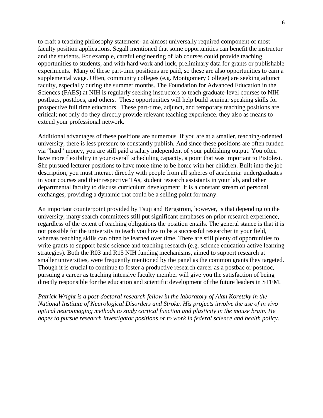to craft a teaching philosophy statement- an almost universally required component of most faculty position applications. Segall mentioned that some opportunities can benefit the instructor and the students. For example, careful engineering of lab courses could provide teaching opportunities to students, and with hard work and luck, preliminary data for grants or publishable experiments. Many of these part-time positions are paid, so these are also opportunities to earn a supplemental wage. Often, community colleges (e.g. Montgomery College) are seeking adjunct faculty, especially during the summer months. The Foundation for Advanced Education in the Sciences (FAES) at NIH is regularly seeking instructors to teach graduate-level courses to NIH postbacs, postdocs, and others. These opportunities will help build seminar speaking skills for prospective full time educators. These part-time, adjunct, and temporary teaching positions are critical; not only do they directly provide relevant teaching experience, they also as means to extend your professional network.

Additional advantages of these positions are numerous. If you are at a smaller, teaching-oriented university, there is less pressure to constantly publish. And since these positions are often funded via "hard" money, you are still paid a salary independent of your publishing output. You often have more flexibility in your overall scheduling capacity, a point that was important to Pistolesi. She pursued lecturer positions to have more time to be home with her children. Built into the job description, you must interact directly with people from all spheres of academia: undergraduates in your courses and their respective TAs, student research assistants in your lab, and other departmental faculty to discuss curriculum development. It is a constant stream of personal exchanges, providing a dynamic that could be a selling point for many.

An important counterpoint provided by Tsuji and Bergstrom, however, is that depending on the university, many search committees still put significant emphases on prior research experience, regardless of the extent of teaching obligations the position entails. The general stance is that it is not possible for the university to teach you how to be a successful researcher in your field, whereas teaching skills can often be learned over time. There are still plenty of opportunities to write grants to support basic science and teaching research (e.g. science education active learning strategies). Both the R03 and R15 NIH funding mechanisms, aimed to support research at smaller universities, were frequently mentioned by the panel as the common grants they targeted. Though it is crucial to continue to foster a productive research career as a postbac or postdoc, pursuing a career as teaching intensive faculty member will give you the satisfaction of being directly responsible for the education and scientific development of the future leaders in STEM.

*Patrick Wright is a post-doctoral research fellow in the laboratory of Alan Koretsky in the National Institute of Neurological Disorders and Stroke. His projects involve the use of in vivo optical neuroimaging methods to study cortical function and plasticity in the mouse brain. He hopes to pursue research investigator positions or to work in federal science and health policy.*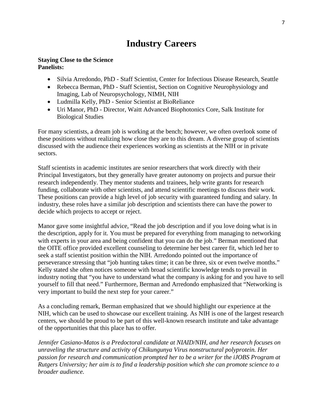# **Industry Careers**

#### **Staying Close to the Science Panelists:**

- Silvia Arredondo, PhD Staff Scientist, Center for Infectious Disease Research, Seattle
- Rebecca Berman, PhD Staff Scientist, Section on Cognitive Neurophysiology and Imaging, Lab of Neuropsychology, NIMH, NIH
- Ludmilla Kelly, PhD Senior Scientist at BioReliance
- Uri Manor, PhD Director, Waitt Advanced Biophotonics Core, Salk Institute for Biological Studies

For many scientists, a dream job is working at the bench; however, we often overlook some of these positions without realizing how close they are to this dream. A diverse group of scientists discussed with the audience their experiences working as scientists at the NIH or in private sectors.

Staff scientists in academic institutes are senior researchers that work directly with their Principal Investigators, but they generally have greater autonomy on projects and pursue their research independently. They mentor students and trainees, help write grants for research funding, collaborate with other scientists, and attend scientific meetings to discuss their work. These positions can provide a high level of job security with guaranteed funding and salary. In industry, these roles have a similar job description and scientists there can have the power to decide which projects to accept or reject.

Manor gave some insightful advice, "Read the job description and if you love doing what is in the description, apply for it. You must be prepared for everything from managing to networking with experts in your area and being confident that you can do the job." Berman mentioned that the OITE office provided excellent counseling to determine her best career fit, which led her to seek a staff scientist position within the NIH. Arredondo pointed out the importance of perseverance stressing that "job hunting takes time; it can be three, six or even twelve months." Kelly stated she often notices someone with broad scientific knowledge tends to prevail in industry noting that "you have to understand what the company is asking for and you have to sell yourself to fill that need." Furthermore, Berman and Arredondo emphasized that "Networking is very important to build the next step for your career."

As a concluding remark, Berman emphasized that we should highlight our experience at the NIH, which can be used to showcase our excellent training. As NIH is one of the largest research centers, we should be proud to be part of this well-known research institute and take advantage of the opportunities that this place has to offer.

*Jennifer Casiano-Matos is a Predoctoral candidate at NIAID/NIH, and her research focuses on unraveling the structure and activity of Chikungunya Virus nonstructural polyprotein. Her passion for research and communication prompted her to be a writer for the iJOBS Program at Rutgers University; her aim is to find a leadership position which she can promote science to a broader audience.*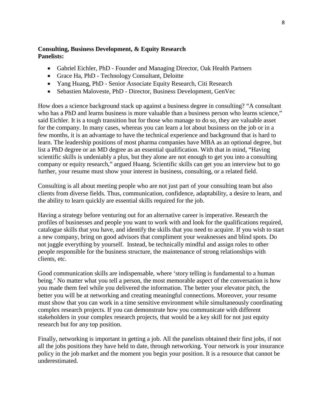### **Consulting, Business Development, & Equity Research Panelists:**

- Gabriel Eichler, PhD Founder and Managing Director, Oak Health Partners
- Grace Ha, PhD Technology Consultant, Deloitte
- Yang Huang, PhD Senior Associate Equity Research, Citi Research
- Sebastien Maloveste, PhD Director, Business Development, GenVec

How does a science background stack up against a business degree in consulting? "A consultant who has a PhD and learns business is more valuable than a business person who learns science," said Eichler. It is a tough transition but for those who manage to do so, they are valuable asset for the company. In many cases, whereas you can learn a lot about business on the job or in a few months, it is an advantage to have the technical experience and background that is hard to learn. The leadership positions of most pharma companies have MBA as an optional degree, but list a PhD degree or an MD degree as an essential qualification. With that in mind, "Having scientific skills is undeniably a plus, but they alone are not enough to get you into a consulting company or equity research," argued Huang. Scientific skills can get you an interview but to go further, your resume must show your interest in business, consulting, or a related field.

Consulting is all about meeting people who are not just part of your consulting team but also clients from diverse fields. Thus, communication, confidence, adaptability, a desire to learn, and the ability to learn quickly are essential skills required for the job.

Having a strategy before venturing out for an alternative career is imperative. Research the profiles of businesses and people you want to work with and look for the qualifications required, catalogue skills that you have, and identify the skills that you need to acquire. If you wish to start a new company, bring on good advisors that compliment your weaknesses and blind spots. Do not juggle everything by yourself. Instead, be technically mindful and assign roles to other people responsible for the business structure, the maintenance of strong relationships with clients, etc.

Good communication skills are indispensable, where 'story telling is fundamental to a human being.' No matter what you tell a person, the most memorable aspect of the conversation is how you made them feel while you delivered the information. The better your elevator pitch, the better you will be at networking and creating meaningful connections. Moreover, your resume must show that you can work in a time sensitive environment while simultaneously coordinating complex research projects. If you can demonstrate how you communicate with different stakeholders in your complex research projects, that would be a key skill for not just equity research but for any top position.

Finally, networking is important in getting a job. All the panelists obtained their first jobs, if not all the jobs positions they have held to date, through networking. Your network is your insurance policy in the job market and the moment you begin your position. It is a resource that cannot be underestimated.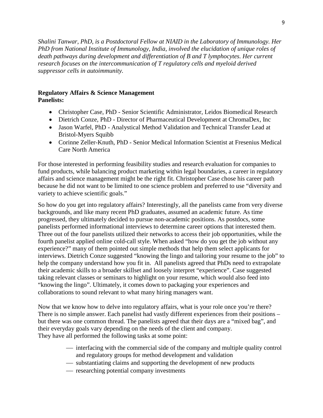*Shalini Tanwar, PhD, is a Postdoctoral Fellow at NIAID in the Laboratory of Immunology. Her PhD from National Institute of Immunology, India, involved the elucidation of unique roles of death pathways during development and differentiation of B and T lymphocytes. Her current research focuses on the intercommunication of T regulatory cells and myeloid derived suppressor cells in autoimmunity.*

# **Regulatory Affairs & Science Management Panelists:**

- Christopher Case, PhD Senior Scientific Administrator, Leidos Biomedical Research
- Dietrich Conze, PhD Director of Pharmaceutical Development at ChromaDex, Inc
- Jason Warfel, PhD Analystical Method Validation and Technical Transfer Lead at Bristol-Myers Squibb
- Corinne Zeller-Knuth, PhD Senior Medical Information Scientist at Fresenius Medical Care North America

For those interested in performing feasibility studies and research evaluation for companies to fund products, while balancing product marketing within legal boundaries, a career in regulatory affairs and science management might be the right fit. Christopher Case chose his career path because he did not want to be limited to one science problem and preferred to use "diversity and variety to achieve scientific goals."

So how do you get into regulatory affairs? Interestingly, all the panelists came from very diverse backgrounds, and like many recent PhD graduates, assumed an academic future. As time progressed, they ultimately decided to pursue non-academic positions. As postdocs, some panelists performed informational interviews to determine career options that interested them. Three out of the four panelists utilized their networks to access their job opportunities, while the fourth panelist applied online cold-call style. When asked "how do you get the job without any experience?" many of them pointed out simple methods that help them select applicants for interviews. Dietrich Conze suggested "knowing the lingo and tailoring your resume to the job" to help the company understand how you fit in. All panelists agreed that PhDs need to extrapolate their academic skills to a broader skillset and loosely interpret "experience". Case suggested taking relevant classes or seminars to highlight on your resume, which would also feed into "knowing the lingo". Ultimately, it comes down to packaging your experiences and collaborations to sound relevant to what many hiring managers want.

Now that we know how to delve into regulatory affairs, what is your role once you're there? There is no simple answer. Each panelist had vastly different experiences from their positions – but there was one common thread. The panelists agreed that their days are a "mixed bag", and their everyday goals vary depending on the needs of the client and company. They have all performed the following tasks at some point:

- interfacing with the commercial side of the company and multiple quality control and regulatory groups for method development and validation
- substantiating claims and supporting the development of new products
- researching potential company investments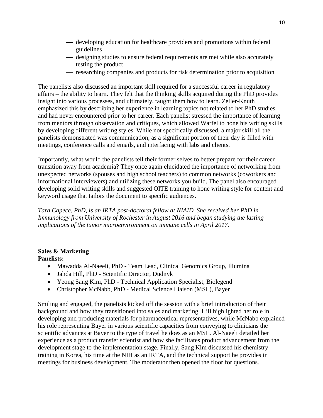- developing education for healthcare providers and promotions within federal guidelines
- designing studies to ensure federal requirements are met while also accurately testing the product
- researching companies and products for risk determination prior to acquisition

The panelists also discussed an important skill required for a successful career in regulatory affairs – the ability to learn. They felt that the thinking skills acquired during the PhD provides insight into various processes, and ultimately, taught them how to learn. Zeller-Knuth emphasized this by describing her experience in learning topics not related to her PhD studies and had never encountered prior to her career. Each panelist stressed the importance of learning from mentors through observation and critiques, which allowed Warfel to hone his writing skills by developing different writing styles. While not specifically discussed, a major skill all the panelists demonstrated was communication, as a significant portion of their day is filled with meetings, conference calls and emails, and interfacing with labs and clients.

Importantly, what would the panelists tell their former selves to better prepare for their career transition away from academia? They once again elucidated the importance of networking from unexpected networks (spouses and high school teachers) to common networks (coworkers and informational interviewers) and utilizing these networks you build. The panel also encouraged developing solid writing skills and suggested OITE training to hone writing style for content and keyword usage that tailors the document to specific audiences.

*Tara Capece, PhD, is an IRTA post-doctoral fellow at NIAID. She received her PhD in Immunology from University of Rochester in August 2016 and began studying the lasting implications of the tumor microenvironment on immune cells in April 2017.* 

# **Sales & Marketing**

**Panelists:**

- Mawadda Al-Naeeli, PhD Team Lead, Clinical Genomics Group, Illumina
- Jahda Hill, PhD Scientific Director, Dudnyk
- Yeong Sang Kim, PhD Technical Application Specialist, Biolegend
- Christopher McNabb, PhD Medical Science Liaison (MSL), Bayer

Smiling and engaged, the panelists kicked off the session with a brief introduction of their background and how they transitioned into sales and marketing. Hill highlighted her role in developing and producing materials for pharmaceutical representatives, while McNabb explained his role representing Bayer in various scientific capacities from conveying to clinicians the scientific advances at Bayer to the type of travel he does as an MSL. Al-Naeeli detailed her experience as a product transfer scientist and how she facilitates product advancement from the development stage to the implementation stage. Finally, Sang Kim discussed his chemistry training in Korea, his time at the NIH as an IRTA, and the technical support he provides in meetings for business development. The moderator then opened the floor for questions.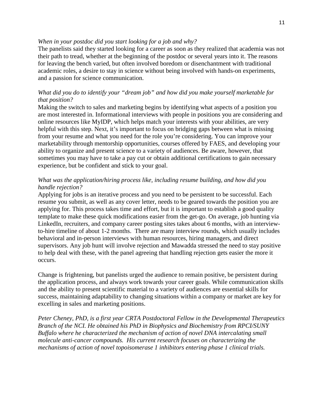#### *When in your postdoc did you start looking for a job and why?*

The panelists said they started looking for a career as soon as they realized that academia was not their path to tread, whether at the beginning of the postdoc or several years into it. The reasons for leaving the bench varied, but often involved boredom or disenchantment with traditional academic roles, a desire to stay in science without being involved with hands-on experiments, and a passion for science communication.

# *What did you do to identify your "dream job" and how did you make yourself marketable for that position?*

Making the switch to sales and marketing begins by identifying what aspects of a position you are most interested in. Informational interviews with people in positions you are considering and online resources like MyIDP, which helps match your interests with your abilities, are very helpful with this step. Next, it's important to focus on bridging gaps between what is missing from your resume and what you need for the role you're considering. You can improve your marketability through mentorship opportunities, courses offered by FAES, and developing your ability to organize and present science to a variety of audiences. Be aware, however, that sometimes you may have to take a pay cut or obtain additional certifications to gain necessary experience, but be confident and stick to your goal.

### *What was the application/hiring process like, including resume building, and how did you handle rejection?*

Applying for jobs is an iterative process and you need to be persistent to be successful. Each resume you submit, as well as any cover letter, needs to be geared towards the position you are applying for. This process takes time and effort, but it is important to establish a good quality template to make these quick modifications easier from the get-go. On average, job hunting via LinkedIn, recruiters, and company career posting sites takes about 6 months, with an interviewto-hire timeline of about 1-2 months. There are many interview rounds, which usually includes behavioral and in-person interviews with human resources, hiring managers, and direct supervisors. Any job hunt will involve rejection and Mawadda stressed the need to stay positive to help deal with these, with the panel agreeing that handling rejection gets easier the more it occurs.

Change is frightening, but panelists urged the audience to remain positive, be persistent during the application process, and always work towards your career goals. While communication skills and the ability to present scientific material to a variety of audiences are essential skills for success, maintaining adaptability to changing situations within a company or market are key for excelling in sales and marketing positions.

*Peter Cheney, PhD, is a first year CRTA Postdoctoral Fellow in the Developmental Therapeutics Branch of the NCI. He obtained his PhD in Biophysics and Biochemistry from RPCI/SUNY Buffalo where he characterized the mechanism of action of novel DNA intercalating small molecule anti-cancer compounds. His current research focuses on characterizing the mechanisms of action of novel topoisomerase 1 inhibitors entering phase 1 clinical trials.*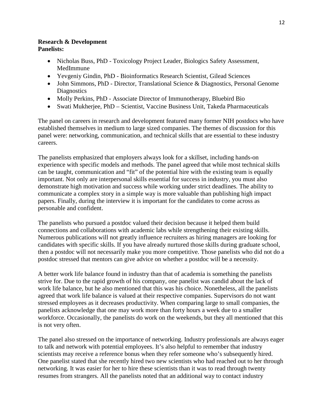### **Research & Development Panelists:**

- Nicholas Buss, PhD Toxicology Project Leader, Biologics Safety Assessment, MedImmune
- Yevgeniy Gindin, PhD Bioinformatics Research Scientist, Gilead Sciences
- John Simmons, PhD Director, Translational Science & Diagnostics, Personal Genome **Diagnostics**
- Molly Perkins, PhD Associate Director of Immunotherapy, Bluebird Bio
- Swati Mukherjee, PhD Scientist, Vaccine Business Unit, Takeda Pharmaceuticals

The panel on careers in research and development featured many former NIH postdocs who have established themselves in medium to large sized companies. The themes of discussion for this panel were: networking, communication, and technical skills that are essential to these industry careers.

The panelists emphasized that employers always look for a skillset, including hands-on experience with specific models and methods. The panel agreed that while most technical skills can be taught, communication and "fit" of the potential hire with the existing team is equally important. Not only are interpersonal skills essential for success in industry, you must also demonstrate high motivation and success while working under strict deadlines. The ability to communicate a complex story in a simple way is more valuable than publishing high impact papers. Finally, during the interview it is important for the candidates to come across as personable and confident.

The panelists who pursued a postdoc valued their decision because it helped them build connections and collaborations with academic labs while strengthening their existing skills. Numerous publications will not greatly influence recruiters as hiring managers are looking for candidates with specific skills. If you have already nurtured those skills during graduate school, then a postdoc will not necessarily make you more competitive. Those panelists who did not do a postdoc stressed that mentors can give advice on whether a postdoc will be a necessity.

A better work life balance found in industry than that of academia is something the panelists strive for. Due to the rapid growth of his company, one panelist was candid about the lack of work life balance, but he also mentioned that this was his choice. Nonetheless, all the panelists agreed that work life balance is valued at their respective companies. Supervisors do not want stressed employees as it decreases productivity. When comparing large to small companies, the panelists acknowledge that one may work more than forty hours a week due to a smaller workforce. Occasionally, the panelists do work on the weekends, but they all mentioned that this is not very often.

The panel also stressed on the importance of networking. Industry professionals are always eager to talk and network with potential employees. It's also helpful to remember that industry scientists may receive a reference bonus when they refer someone who's subsequently hired. One panelist stated that she recently hired two new scientists who had reached out to her through networking. It was easier for her to hire these scientists than it was to read through twenty resumes from strangers. All the panelists noted that an additional way to contact industry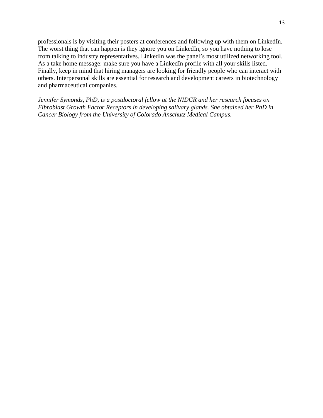professionals is by visiting their posters at conferences and following up with them on LinkedIn. The worst thing that can happen is they ignore you on LinkedIn, so you have nothing to lose from talking to industry representatives. LinkedIn was the panel's most utilized networking tool. As a take home message: make sure you have a LinkedIn profile with all your skills listed. Finally, keep in mind that hiring managers are looking for friendly people who can interact with others. Interpersonal skills are essential for research and development careers in biotechnology and pharmaceutical companies.

*Jennifer Symonds, PhD, is a postdoctoral fellow at the NIDCR and her research focuses on Fibroblast Growth Factor Receptors in developing salivary glands. She obtained her PhD in Cancer Biology from the University of Colorado Anschutz Medical Campus.*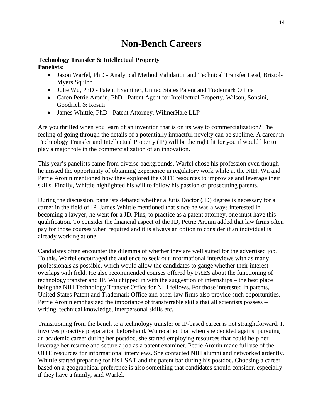# **Non-Bench Careers**

# **Technology Transfer & Intellectual Property Panelists:**

- Jason Warfel, PhD Analytical Method Validation and Technical Transfer Lead, Bristol-Myers Squibb
- Julie Wu, PhD Patent Examiner, United States Patent and Trademark Office
- Caren Petrie Aronin, PhD Patent Agent for Intellectual Property, Wilson, Sonsini, Goodrich & Rosati
- James Whittle, PhD Patent Attorney, WilmerHale LLP

Are you thrilled when you learn of an invention that is on its way to commercialization? The feeling of going through the details of a potentially impactful novelty can be sublime. A career in Technology Transfer and Intellectual Property (IP) will be the right fit for you if would like to play a major role in the commercialization of an innovation.

This year's panelists came from diverse backgrounds. Warfel chose his profession even though he missed the opportunity of obtaining experience in regulatory work while at the NIH. Wu and Petrie Aronin mentioned how they explored the OITE resources to improvise and leverage their skills. Finally, Whittle highlighted his will to follow his passion of prosecuting patents.

During the discussion, panelists debated whether a Juris Doctor (JD) degree is necessary for a career in the field of IP. James Whittle mentioned that since he was always interested in becoming a lawyer, he went for a JD. Plus, to practice as a patent attorney, one must have this qualification. To consider the financial aspect of the JD, Petrie Aronin added that law firms often pay for those courses when required and it is always an option to consider if an individual is already working at one.

Candidates often encounter the dilemma of whether they are well suited for the advertised job. To this, Warfel encouraged the audience to seek out informational interviews with as many professionals as possible, which would allow the candidates to gauge whether their interest overlaps with field. He also recommended courses offered by FAES about the functioning of technology transfer and IP. Wu chipped in with the suggestion of internships – the best place being the NIH Technology Transfer Office for NIH fellows. For those interested in patents, United States Patent and Trademark Office and other law firms also provide such opportunities. Petrie Aronin emphasized the importance of transferrable skills that all scientists possess – writing, technical knowledge, interpersonal skills etc.

Transitioning from the bench to a technology transfer or IP-based career is not straightforward. It involves proactive preparation beforehand. Wu recalled that when she decided against pursuing an academic career during her postdoc, she started employing resources that could help her leverage her resume and secure a job as a patent examiner. Petrie Aronin made full use of the OITE resources for informational interviews. She contacted NIH alumni and networked ardently. Whittle started preparing for his LSAT and the patent bar during his postdoc. Choosing a career based on a geographical preference is also something that candidates should consider, especially if they have a family, said Warfel.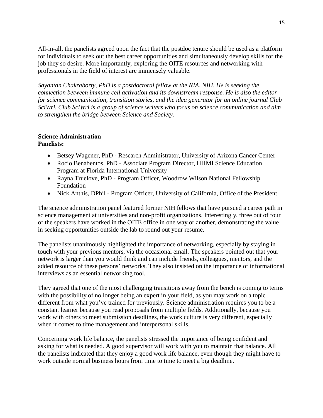All-in-all, the panelists agreed upon the fact that the postdoc tenure should be used as a platform for individuals to seek out the best career opportunities and simultaneously develop skills for the job they so desire. More importantly, exploring the OITE resources and networking with professionals in the field of interest are immensely valuable.

*Sayantan Chakraborty, PhD is a postdoctoral fellow at the NIA, NIH. He is seeking the connection between immune cell activation and its downstream response. He is also the editor for science communication, transition stories, and the idea generator for an online journal Club SciWri. Club SciWri is a group of science writers who focus on science communication and aim to strengthen the bridge between Science and Society.* 

#### **Science Administration Panelists:**

- Betsey Wagener, PhD Research Administrator, University of Arizona Cancer Center
- Rocio Benabentos, PhD Associate Program Director, HHMI Science Education Program at Florida International University
- Rayna Truelove, PhD Program Officer, Woodrow Wilson National Fellowship Foundation
- Nick Anthis, DPhil Program Officer, University of California, Office of the President

The science administration panel featured former NIH fellows that have pursued a career path in science management at universities and non-profit organizations. Interestingly, three out of four of the speakers have worked in the OITE office in one way or another, demonstrating the value in seeking opportunities outside the lab to round out your resume.

The panelists unanimously highlighted the importance of networking, especially by staying in touch with your previous mentors, via the occasional email. The speakers pointed out that your network is larger than you would think and can include friends, colleagues, mentors, and the added resource of these persons' networks. They also insisted on the importance of informational interviews as an essential networking tool.

They agreed that one of the most challenging transitions away from the bench is coming to terms with the possibility of no longer being an expert in your field, as you may work on a topic different from what you've trained for previously. Science administration requires you to be a constant learner because you read proposals from multiple fields. Additionally, because you work with others to meet submission deadlines, the work culture is very different, especially when it comes to time management and interpersonal skills.

Concerning work life balance, the panelists stressed the importance of being confident and asking for what is needed. A good supervisor will work with you to maintain that balance. All the panelists indicated that they enjoy a good work life balance, even though they might have to work outside normal business hours from time to time to meet a big deadline.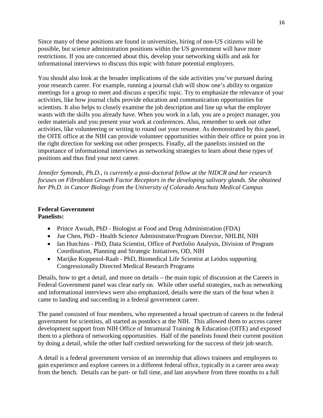Since many of these positions are found in universities, hiring of non-US citizens will be possible, but science administration positions within the US government will have more restrictions. If you are concerned about this, develop your networking skills and ask for informational interviews to discuss this topic with future potential employers.

You should also look at the broader implications of the side activities you've pursued during your research career. For example, running a journal club will show one's ability to organize meetings for a group to meet and discuss a specific topic. Try to emphasize the relevance of your activities, like how journal clubs provide education and communication opportunities for scientists. It also helps to closely examine the job description and line up what the employer wants with the skills you already have. When you work in a lab, you are a project manager, you order materials and you present your work at conferences. Also, remember to seek out other activities, like volunteering or writing to round out your resume. As demonstrated by this panel, the OITE office at the NIH can provide volunteer opportunities within their office or point you in the right direction for seeking out other prospects. Finally, all the panelists insisted on the importance of informational interviews as networking strategies to learn about these types of positions and thus find your next career.

*Jennifer Symonds, Ph.D., is currently a post-doctoral fellow at the NIDCR and her research focuses on Fibroblast Growth Factor Receptors in the developing salivary glands. She obtained her Ph.D. in Cancer Biology from the University of Colorado Anschutz Medical Campus*

#### **Federal Government Panelists:**

- Prince Awuah, PhD Biologist at Food and Drug Administration (FDA)
- Jue Chen, PhD Health Science Administrator/Program Director, NHLBI, NIH
- Ian Hutchins PhD, Data Scientist, Office of Portfolio Analysis, Division of Program Coordination, Planning and Strategic Initiatives, OD, NIH
- Marijke Koppenol-Raab PhD, Biomedical Life Scientist at Leidos supporting Congressionally Directed Medical Research Programs

Details, how to get a detail, and more on details – the main topic of discussion at the Careers in Federal Government panel was clear early on. While other useful strategies, such as networking and informational interviews were also emphasized, details were the stars of the hour when it came to landing and succeeding in a federal government career.

The panel consisted of four members, who represented a broad spectrum of careers in the federal government for scientists, all started as postdocs at the NIH. This allowed them to access career development support from NIH Office of Intramural Training & Education (OITE) and exposed them to a plethora of networking opportunities. Half of the panelists found their current position by doing a detail, while the other half credited networking for the success of their job search.

A detail is a federal government version of an internship that allows trainees and employees to gain experience and explore careers in a different federal office, typically in a career area away from the bench. Details can be part- or full time, and last anywhere from three months to a full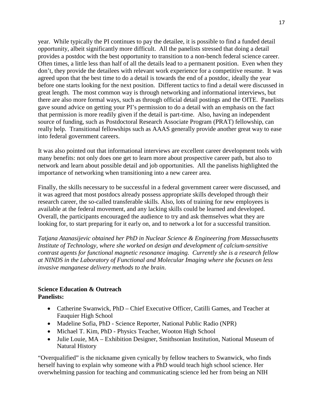year. While typically the PI continues to pay the detailee, it is possible to find a funded detail opportunity, albeit significantly more difficult. All the panelists stressed that doing a detail provides a postdoc with the best opportunity to transition to a non-bench federal science career. Often times, a little less than half of all the details lead to a permanent position. Even when they don't, they provide the detailees with relevant work experience for a competitive resume. It was agreed upon that the best time to do a detail is towards the end of a postdoc, ideally the year before one starts looking for the next position. Different tactics to find a detail were discussed in great length. The most common way is through networking and informational interviews, but there are also more formal ways, such as through official detail postings and the OITE. Panelists gave sound advice on getting your PI's permission to do a detail with an emphasis on the fact that permission is more readily given if the detail is part-time. Also, having an independent source of funding, such as Postdoctoral Research Associate Program (PRAT) fellowship, can really help. Transitional fellowships such as AAAS generally provide another great way to ease into federal government careers.

It was also pointed out that informational interviews are excellent career development tools with many benefits: not only does one get to learn more about prospective career path, but also to network and learn about possible detail and job opportunities. All the panelists highlighted the importance of networking when transitioning into a new career area.

Finally, the skills necessary to be successful in a federal government career were discussed, and it was agreed that most postdocs already possess appropriate skills developed through their research career, the so-called transferable skills. Also, lots of training for new employees is available at the federal movement, and any lacking skills could be learned and developed. Overall, the participants encouraged the audience to try and ask themselves what they are looking for, to start preparing for it early on, and to network a lot for a successful transition.

*Tatjana Atanasijevic obtained her PhD in Nuclear Science & Engineering from Massachusetts Institute of Technology, where she worked on design and development of calcium-sensitive contrast agents for functional magnetic resonance imaging. Currently she is a research fellow at NINDS in the Laboratory of Functional and Molecular Imaging where she focuses on less invasive manganese delivery methods to the brain*.

# **Science Education & Outreach Panelists:**

- Catherine Swanwick, PhD Chief Executive Officer, Catilli Games, and Teacher at Fauquier High School
- Madeline Sofia, PhD Science Reporter, National Public Radio (NPR)
- Michael T. Kim, PhD Physics Teacher, Wooton High School
- Julie Louie, MA Exhibition Designer, Smithsonian Institution, National Museum of Natural History

"Overqualified" is the nickname given cynically by fellow teachers to Swanwick, who finds herself having to explain why someone with a PhD would teach high school science. Her overwhelming passion for teaching and communicating science led her from being an NIH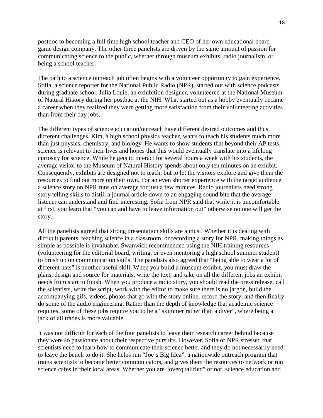postdoc to becoming a full time high school teacher and CEO of her own educational board game design company. The other three panelists are driven by the same amount of passion for communicating science to the public, whether through museum exhibits, radio journalism, or being a school teacher.

The path to a science outreach job often begins with a volunteer opportunity to gain experience. Sofia, a science reporter for the National Public Radio (NPR), started out with science podcasts during graduate school. Julia Louie, an exhibition designer, volunteered at the National Museum of Natural History during her postbac at the NIH. What started out as a hobby eventually became a career when they realized they were getting more satisfaction from their volunteering activities than from their day jobs.

The different types of science education/outreach have different desired outcomes and thus, different challenges. Kim, a high school physics teacher, wants to teach his students much more than just physics, chemistry, and biology. He wants to show students that beyond their AP tests, science is relevant to their lives and hopes that this would eventually translate into a lifelong curiosity for science. While he gets to interact for several hours a week with his students, the average visitor to the Museum of Natural History spends about only ten minutes on an exhibit. Consequently, exhibits are designed not to teach, but to let the visitors explore and give them the resources to find out more on their own. For an even shorter experience with the target audience, a science story on NPR runs on average for just a few minutes. Radio journalists need strong story telling skills to distill a journal article down to an engaging sound bite that the average listener can understand and find interesting. Sofia from NPR said that while it is uncomfortable at first, you learn that "you can and have to leave information out" otherwise no one will get the story.

All the panelists agreed that strong presentation skills are a must. Whether it is dealing with difficult parents, teaching science in a classroom, or recording a story for NPR, making things as simple as possible is invaluable. Swanwick recommended using the NIH training resources (volunteering for the editorial board, writing, or even mentoring a high school summer student) to brush up on communication skills. The panelists also agreed that "being able to wear a lot of different hats" is another useful skill. When you build a museum exhibit, you must draw the plans, design and source for materials, write the text, and take on all the different jobs an exhibit needs from start to finish. When you produce a radio story, you should read the press release, call the scientists, write the script, work with the editor to make sure there is no jargon, build the accompanying gifs, videos, photos that go with the story online, record the story, and then finally do some of the audio engineering. Rather than the depth of knowledge that academic science requires, some of these jobs require you to be a "skimmer rather than a diver", where being a jack of all trades is more valuable.

It was not difficult for each of the four panelists to leave their research career behind because they were so passionate about their respective pursuits. However, Sofia of NPR stressed that scientists need to learn how to communicate their science better and they do not necessarily need to leave the bench to do it. She helps run "Joe's Big Idea", a nationwide outreach program that trains scientists to become better communicators, and gives them the resources to network or run science cafes in their local areas. Whether you are "overqualified" or not, science education and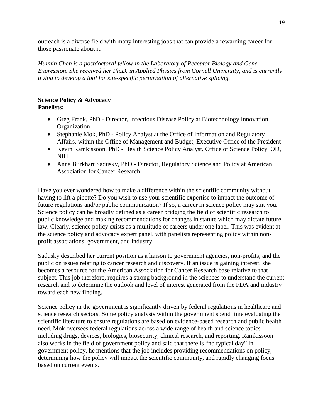outreach is a diverse field with many interesting jobs that can provide a rewarding career for those passionate about it.

*Huimin Chen is a postdoctoral fellow in the Laboratory of Receptor Biology and Gene Expression. She received her Ph.D. in Applied Physics from Cornell University, and is currently trying to develop a tool for site-specific perturbation of alternative splicing.*

#### **Science Policy & Advocacy Panelists:**

- Greg Frank, PhD Director, Infectious Disease Policy at Biotechnology Innovation **Organization**
- Stephanie Mok, PhD Policy Analyst at the Office of Information and Regulatory Affairs, within the Office of Management and Budget, Executive Office of the President
- Kevin Ramkissoon, PhD Health Science Policy Analyst, Office of Science Policy, OD, NIH
- Anna Burkhart Sadusky, PhD Director, Regulatory Science and Policy at American Association for Cancer Research

Have you ever wondered how to make a difference within the scientific community without having to lift a pipette? Do you wish to use your scientific expertise to impact the outcome of future regulations and/or public communication? If so, a career in science policy may suit you. Science policy can be broadly defined as a career bridging the field of scientific research to public knowledge and making recommendations for changes in statute which may dictate future law. Clearly, science policy exists as a multitude of careers under one label. This was evident at the science policy and advocacy expert panel, with panelists representing policy within nonprofit associations, government, and industry.

Sadusky described her current position as a liaison to government agencies, non-profits, and the public on issues relating to cancer research and discovery. If an issue is gaining interest, she becomes a resource for the American Association for Cancer Research base relative to that subject. This job therefore, requires a strong background in the sciences to understand the current research and to determine the outlook and level of interest generated from the FDA and industry toward each new finding.

Science policy in the government is significantly driven by federal regulations in healthcare and science research sectors. Some policy analysts within the government spend time evaluating the scientific literature to ensure regulations are based on evidence-based research and public health need. Mok oversees federal regulations across a wide-range of health and science topics including drugs, devices, biologics, biosecurity, clinical research, and reporting. Ramkissoon also works in the field of government policy and said that there is "no typical day" in government policy, he mentions that the job includes providing recommendations on policy, determining how the policy will impact the scientific community, and rapidly changing focus based on current events.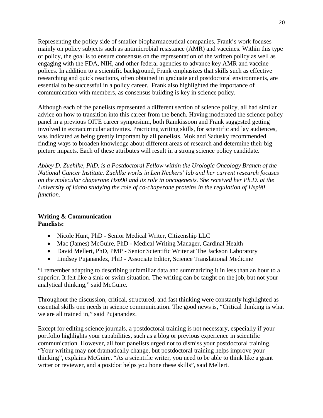Representing the policy side of smaller biopharmaceutical companies, Frank's work focuses mainly on policy subjects such as antimicrobial resistance (AMR) and vaccines. Within this type of policy, the goal is to ensure consensus on the representation of the written policy as well as engaging with the FDA, NIH, and other federal agencies to advance key AMR and vaccine polices. In addition to a scientific background, Frank emphasizes that skills such as effective researching and quick reactions, often obtained in graduate and postdoctoral environments, are essential to be successful in a policy career. Frank also highlighted the importance of communication with members, as consensus building is key in science policy.

Although each of the panelists represented a different section of science policy, all had similar advice on how to transition into this career from the bench. Having moderated the science policy panel in a previous OITE career symposium, both Ramkissoon and Frank suggested getting involved in extracurricular activities. Practicing writing skills, for scientific and lay audiences, was indicated as being greatly important by all panelists. Mok and Sadusky recommended finding ways to broaden knowledge about different areas of research and determine their big picture impacts. Each of these attributes will result in a strong science policy candidate.

*Abbey D. Zuehlke, PhD, is a Postdoctoral Fellow within the Urologic Oncology Branch of the National Cancer Institute. Zuehlke works in Len Neckers' lab and her current research focuses on the molecular chaperone Hsp90 and its role in oncogenesis. She received her Ph.D. at the University of Idaho studying the role of co-chaperone proteins in the regulation of Hsp90 function.*

# **Writing & Communication Panelists:**

- Nicole Hunt, PhD Senior Medical Writer, Citizenship LLC
- Mac (James) McGuire, PhD Medical Writing Manager, Cardinal Health
- David Mellert, PhD, PMP Senior Scientific Writer at The Jackson Laboratory
- Lindsey Pujanandez, PhD Associate Editor, Science Translational Medicine

"I remember adapting to describing unfamiliar data and summarizing it in less than an hour to a superior. It felt like a sink or swim situation. The writing can be taught on the job, but not your analytical thinking," said McGuire.

Throughout the discussion, critical, structured, and fast thinking were constantly highlighted as essential skills one needs in science communication. The good news is, "Critical thinking is what we are all trained in," said Pujanandez.

Except for editing science journals, a postdoctoral training is not necessary, especially if your portfolio highlights your capabilities, such as a blog or previous experience in scientific communication. However, all four panelists urged not to dismiss your postdoctoral training. "Your writing may not dramatically change, but postdoctoral training helps improve your thinking", explains McGuire. "As a scientific writer, you need to be able to think like a grant writer or reviewer, and a postdoc helps you hone these skills", said Mellert.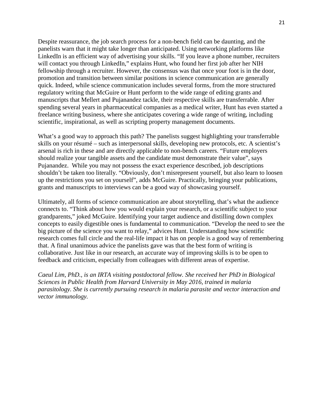Despite reassurance, the job search process for a non-bench field can be daunting, and the panelists warn that it might take longer than anticipated. Using networking platforms like LinkedIn is an efficient way of advertising your skills. "If you leave a phone number, recruiters will contact you through LinkedIn," explains Hunt, who found her first job after her NIH fellowship through a recruiter. However, the consensus was that once your foot is in the door, promotion and transition between similar positions in science communication are generally quick. Indeed, while science communication includes several forms, from the more structured regulatory writing that McGuire or Hunt perform to the wide range of editing grants and manuscripts that Mellert and Pujanandez tackle, their respective skills are transferrable. After spending several years in pharmaceutical companies as a medical writer, Hunt has even started a freelance writing business, where she anticipates covering a wide range of writing, including scientific, inspirational, as well as scripting property management documents.

What's a good way to approach this path? The panelists suggest highlighting your transferrable skills on your résumé – such as interpersonal skills, developing new protocols, etc. A scientist's arsenal is rich in these and are directly applicable to non-bench careers. "Future employers should realize your tangible assets and the candidate must demonstrate their value", says Pujanandez. While you may not possess the exact experience described, job descriptions shouldn't be taken too literally. "Obviously, don't misrepresent yourself, but also learn to loosen up the restrictions you set on yourself", adds McGuire. Practically, bringing your publications, grants and manuscripts to interviews can be a good way of showcasing yourself.

Ultimately, all forms of science communication are about storytelling, that's what the audience connects to. "Think about how you would explain your research, or a scientific subject to your grandparents," joked McGuire. Identifying your target audience and distilling down complex concepts to easily digestible ones is fundamental to communication. "Develop the need to see the big picture of the science you want to relay," advices Hunt. Understanding how scientific research comes full circle and the real-life impact it has on people is a good way of remembering that. A final unanimous advice the panelists gave was that the best form of writing is collaborative. Just like in our research, an accurate way of improving skills is to be open to feedback and criticism, especially from colleagues with different areas of expertise.

*Caeul Lim, PhD., is an IRTA visiting postdoctoral fellow. She received her PhD in Biological Sciences in Public Health from Harvard University in May 2016, trained in malaria parasitology. She is currently pursuing research in malaria parasite and vector interaction and vector immunology.*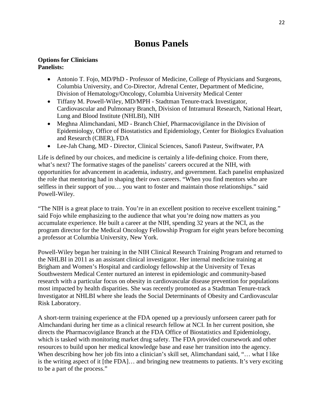# **Bonus Panels**

### **Options for Clinicians Panelists:**

- Antonio T. Fojo, MD/PhD Professor of Medicine, College of Physicians and Surgeons, Columbia University, and Co-Director, Adrenal Center, Department of Medicine, Division of Hematology/Oncology, Columbia University Medical Center
- Tiffany M. Powell-Wiley, MD/MPH Stadtman Tenure-track Investigator, Cardiovascular and Pulmonary Branch, Division of Intramural Research, National Heart, Lung and Blood Institute (NHLBI), NIH
- Meghna Alimchandani, MD Branch Chief, Pharmacovigilance in the Division of Epidemiology, Office of Biostatistics and Epidemiology, Center for Biologics Evaluation and Research (CBER), FDA
- Lee-Jah Chang, MD Director, Clinical Sciences, Sanofi Pasteur, Swiftwater, PA

Life is defined by our choices, and medicine is certainly a life-defining choice. From there, what's next? The formative stages of the panelists' careers occured at the NIH, with opportunities for advancement in academia, industry, and government. Each panelist emphasized the role that mentoring had in shaping their own careers. "When you find mentors who are selfless in their support of you… you want to foster and maintain those relationships." said Powell-Wiley.

"The NIH is a great place to train. You're in an excellent position to receive excellent training." said Fojo while emphasizing to the audience that what you're doing now matters as you accumulate experience. He built a career at the NIH, spending 32 years at the NCI, as the program director for the Medical Oncology Fellowship Program for eight years before becoming a professor at Columbia University, New York.

Powell-Wiley began her training in the NIH Clinical Research Training Program and returned to the NHLBI in 2011 as an assistant clinical investigator. Her internal medicine training at Brigham and Women's Hospital and cardiology fellowship at the University of Texas Southwestern Medical Center nurtured an interest in epidemiologic and community-based research with a particular focus on obesity in cardiovascular disease prevention for populations most impacted by health disparities. She was recently promoted as a Stadtman Tenure-track Investigator at NHLBI where she leads the Social Determinants of Obesity and Cardiovascular Risk Laboratory.

A short-term training experience at the FDA opened up a previously unforseen career path for Almchandani during her time as a clinical research fellow at NCI. In her current position, she directs the Pharmacovigilance Branch at the FDA Office of Biostatistics and Epidemiology, which is tasked with monitoring market drug safety. The FDA provided coursework and other resources to build upon her medical knowledge base and ease her transition into the agency. When describing how her job fits into a clinician's skill set, Alimchandani said, "… what I like is the writing aspect of it [the FDA]… and bringing new treatments to patients. It's very exciting to be a part of the process."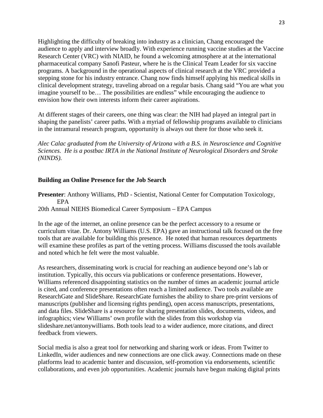Highlighting the difficulty of breaking into industry as a clinician, Chang encouraged the audience to apply and interview broadly. With experience running vaccine studies at the Vaccine Research Center (VRC) with NIAID, he found a welcoming atmosphere at at the international pharmaceutical company Sanofi Pasteur, where he is the Clinical Team Leader for six vaccine programs. A background in the operational aspects of clinical research at the VRC provided a stepping stone for his industry entrance. Chang now finds himself applying his medical skills in clinical development strategy, traveling abroad on a regular basis. Chang said "You are what you imagine yourself to be… The possibilities are endless" while encouraging the audience to envision how their own interests inform their career aspirations.

At different stages of their careers, one thing was clear: the NIH had played an integral part in shaping the panelists' career paths. With a myriad of fellowship programs available to clinicians in the intramural research program, opportunity is always out there for those who seek it.

*Alec Calac graduated from the University of Arizona with a B.S. in Neuroscience and Cognitive Sciences. He is a postbac IRTA in the National Institute of Neurological Disorders and Stroke (NINDS).*

# **Building an Online Presence for the Job Search**

**Presenter**: Anthony Williams, PhD - Scientist, National Center for Computation Toxicology, EPA

20th Annual NIEHS Biomedical Career Symposium – EPA Campus

In the age of the internet, an online presence can be the perfect accessory to a resume or curriculum vitae. Dr. Antony Williams (U.S. EPA) gave an instructional talk focused on the free tools that are available for building this presence. He noted that human resources departments will examine these profiles as part of the vetting process. Williams discussed the tools available and noted which he felt were the most valuable.

As researchers, disseminating work is crucial for reaching an audience beyond one's lab or institution. Typically, this occurs via publications or conference presentations. However, Williams referenced disappointing statistics on the number of times an academic journal article is cited, and conference presentations often reach a limited audience. Two tools available are ResearchGate and SlideShare. ResearchGate furnishes the ability to share pre-print versions of manuscripts (publisher and licensing rights pending), open access manuscripts, presentations, and data files. SlideShare is a resource for sharing presentation slides, documents, videos, and infographics; view Williams' own profile with the slides from this workshop via slideshare.net/antonywilliams. Both tools lead to a wider audience, more citations, and direct feedback from viewers.

Social media is also a great tool for networking and sharing work or ideas. From Twitter to LinkedIn, wider audiences and new connections are one click away. Connections made on these platforms lead to academic banter and discussion, self-promotion via endorsements, scientific collaborations, and even job opportunities. Academic journals have begun making digital prints